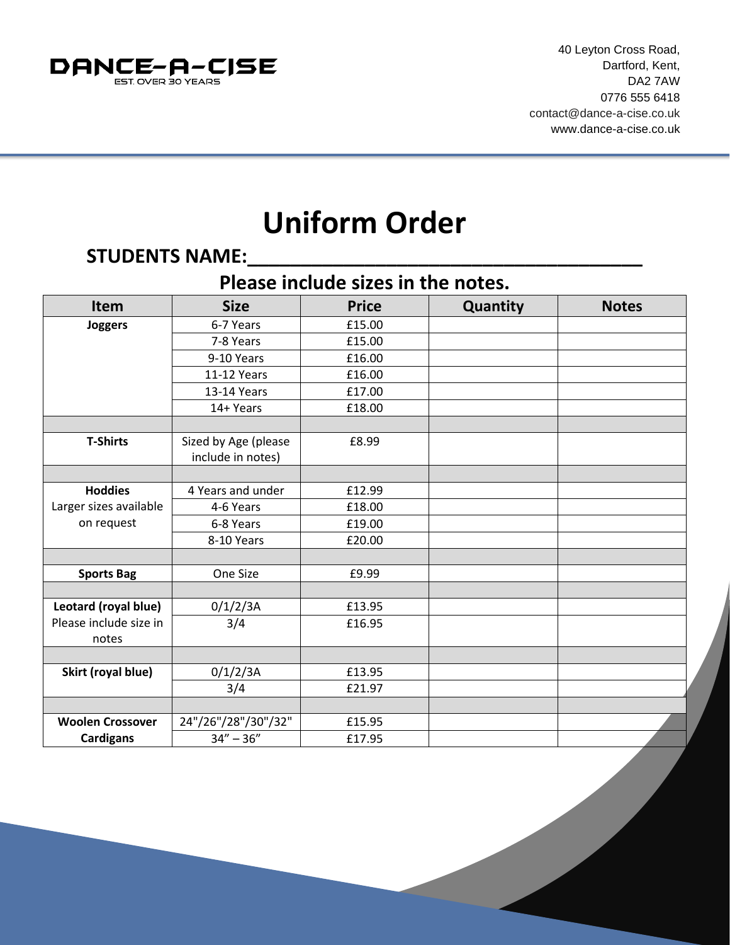

## **Uniform Order**

## **STUDENTS NAME:\_\_\_\_\_\_\_\_\_\_\_\_\_\_\_\_\_\_\_\_\_\_\_\_\_\_\_\_\_\_\_\_\_\_\_\_\_**

## **Please include sizes in the notes.**

| <b>Item</b>             | <b>Size</b>          | <b>Price</b> | Quantity | <b>Notes</b> |
|-------------------------|----------------------|--------------|----------|--------------|
| Joggers                 | 6-7 Years            | £15.00       |          |              |
|                         | 7-8 Years            | £15.00       |          |              |
|                         | 9-10 Years           | £16.00       |          |              |
|                         | 11-12 Years          | £16.00       |          |              |
|                         | 13-14 Years          | £17.00       |          |              |
|                         | 14+ Years            | £18.00       |          |              |
|                         |                      |              |          |              |
| <b>T-Shirts</b>         | Sized by Age (please | £8.99        |          |              |
|                         | include in notes)    |              |          |              |
|                         |                      |              |          |              |
| <b>Hoddies</b>          | 4 Years and under    | £12.99       |          |              |
| Larger sizes available  | 4-6 Years            | £18.00       |          |              |
| on request              | 6-8 Years            | £19.00       |          |              |
|                         | 8-10 Years           | £20.00       |          |              |
|                         |                      |              |          |              |
| <b>Sports Bag</b>       | One Size             | £9.99        |          |              |
|                         |                      |              |          |              |
| Leotard (royal blue)    | 0/1/2/3A             | £13.95       |          |              |
| Please include size in  | 3/4                  | £16.95       |          |              |
| notes                   |                      |              |          |              |
|                         |                      |              |          |              |
| Skirt (royal blue)      | 0/1/2/3A             | £13.95       |          |              |
|                         | 3/4                  | £21.97       |          |              |
|                         |                      |              |          |              |
| <b>Woolen Crossover</b> | 24"/26"/28"/30"/32"  | £15.95       |          |              |
| <b>Cardigans</b>        | $34'' - 36''$        | £17.95       |          |              |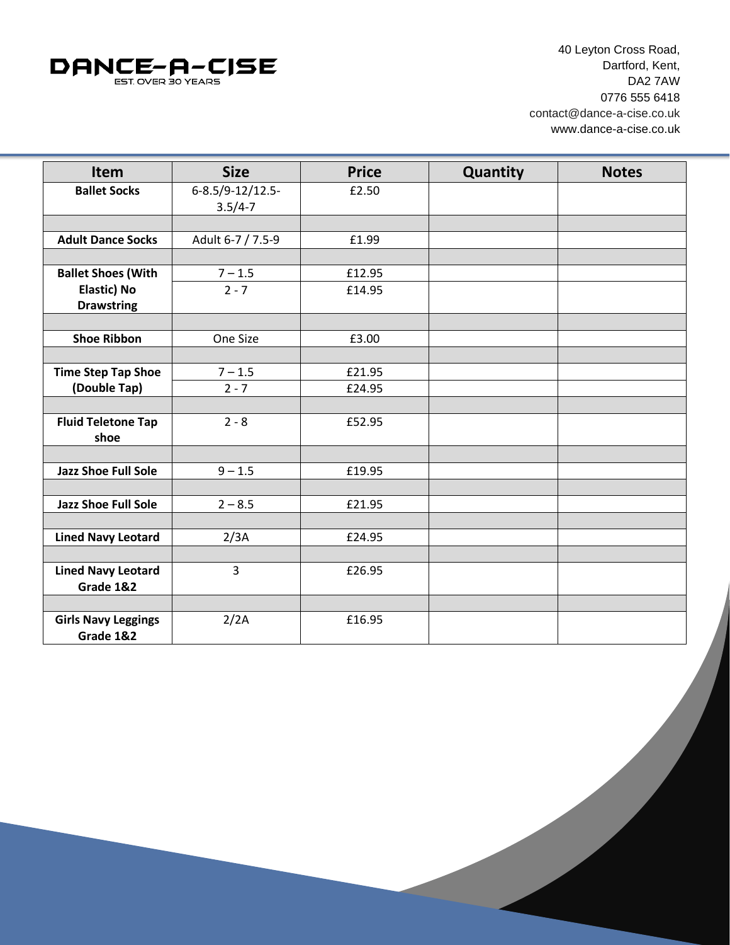

40 Leyton Cross Road, Dartford, Kent, DA2 7AW 0776 555 6418 [contact@dance-a-cise.co.uk](mailto:contact@dance-a-cise.co.uk) www.dance-a-cise.co.uk

| Item                       | <b>Size</b>       | <b>Price</b> | Quantity | <b>Notes</b> |
|----------------------------|-------------------|--------------|----------|--------------|
| <b>Ballet Socks</b>        | 6-8.5/9-12/12.5-  | £2.50        |          |              |
|                            | $3.5/4 - 7$       |              |          |              |
|                            |                   |              |          |              |
| <b>Adult Dance Socks</b>   | Adult 6-7 / 7.5-9 | £1.99        |          |              |
|                            |                   |              |          |              |
| <b>Ballet Shoes (With</b>  | $7 - 1.5$         | £12.95       |          |              |
| <b>Elastic) No</b>         | $2 - 7$           | £14.95       |          |              |
| <b>Drawstring</b>          |                   |              |          |              |
|                            |                   |              |          |              |
| <b>Shoe Ribbon</b>         | One Size          | £3.00        |          |              |
|                            |                   |              |          |              |
| <b>Time Step Tap Shoe</b>  | $7 - 1.5$         | £21.95       |          |              |
| (Double Tap)               | $2 - 7$           | £24.95       |          |              |
|                            |                   |              |          |              |
| <b>Fluid Teletone Tap</b>  | $2 - 8$           | £52.95       |          |              |
| shoe                       |                   |              |          |              |
|                            |                   |              |          |              |
| <b>Jazz Shoe Full Sole</b> | $9 - 1.5$         | £19.95       |          |              |
|                            |                   |              |          |              |
| <b>Jazz Shoe Full Sole</b> | $2 - 8.5$         | £21.95       |          |              |
|                            |                   |              |          |              |
| <b>Lined Navy Leotard</b>  | 2/3A              | £24.95       |          |              |
|                            |                   |              |          |              |
| <b>Lined Navy Leotard</b>  | 3                 | £26.95       |          |              |
| Grade 1&2                  |                   |              |          |              |
|                            |                   |              |          |              |
| <b>Girls Navy Leggings</b> | 2/2A              | £16.95       |          |              |
| Grade 1&2                  |                   |              |          |              |